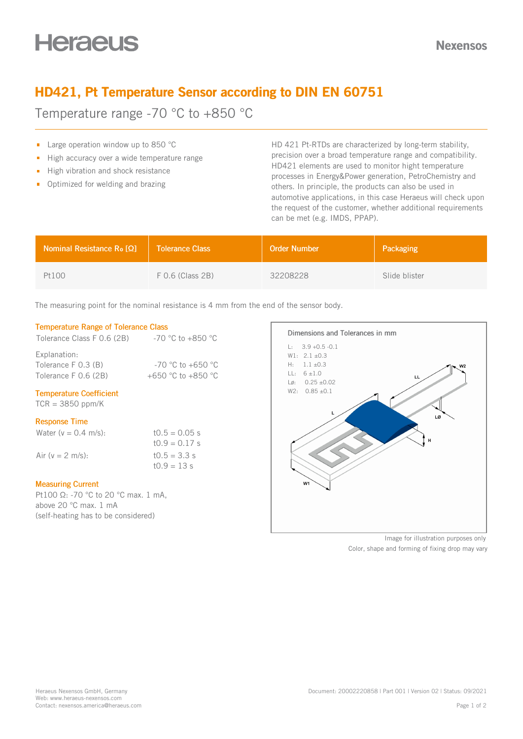# HD421, Pt Temperature Sensor according to DIN EN 60751

Temperature range -70 °C to +850 °C

- **Large operation window up to 850 °C**
- High accuracy over a wide temperature range  $\blacksquare$
- High vibration and shock resistance
- **•** Optimized for welding and brazing

HD 421 Pt-RTDs are characterized by long-term stability, precision over a broad temperature range and compatibility. HD421 elements are used to monitor hight temperature processes in Energy&Power generation, PetroChemistry and others. In principle, the products can also be used in automotive applications, in this case Heraeus will check upon the request of the customer, whether additional requirements can be met (e.g. IMDS, PPAP).

| <b>Nominal Resistance Ro [<math>\Omega</math>]</b> | <b>Tolerance Class</b> | <b>Order Number</b> | Packaging     |
|----------------------------------------------------|------------------------|---------------------|---------------|
| Pt100                                              | $F$ 0.6 (Class 2B)     | 32208228            | Slide blister |

The measuring point for the nominal resistance is 4 mm from the end of the sensor body.

### Temperature Range of Tolerance Class

| Tolerance Class F 0.6 (2B) | $-70$ °C to $+850$ °C |
|----------------------------|-----------------------|
| Explanation:               |                       |
| Tolerance F 0.3 (B)        | $-70$ °C to $+650$ °C |
| Tolerance F 0.6 (2B)       | +650 °C to +850 °C    |
|                            |                       |

## Temperature Coefficient

 $TCR = 3850$  ppm/K

#### Response Time

| Water ( $v = 0.4$ m/s): | $10.5 = 0.05$ s |
|-------------------------|-----------------|
|                         | $10.9 = 0.17$ s |
| Air ( $v = 2$ m/s):     | $10.5 = 3.3$ s  |
|                         | $10.9 = 13 s$   |

#### Measuring Current

Pt100 Ω: -70 °C to 20 °C max. 1 mA, above 20 °C max. 1 mA (self-heating has to be considered)



Image for illustration purposes only Color, shape and forming of fixing drop may vary